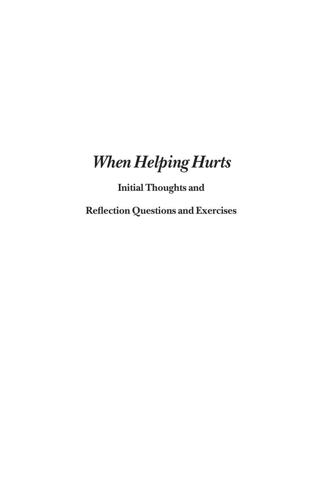## *When Helping Hurts*

## **Initial Thoughts and**

**Reflection Questions and Exercises**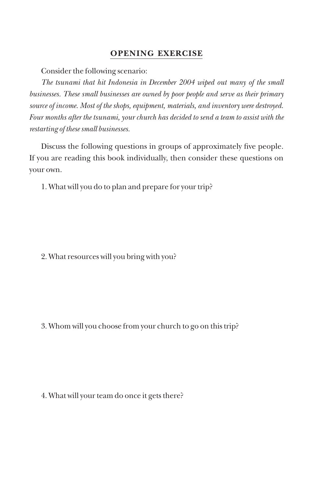#### **Opening Exercise**

Consider the following scenario:

*The tsunami that hit Indonesia in December 2004 wiped out many of the small businesses. These small businesses are owned by poor people and serve as their primary source of income. Most of the shops, equipment, materials, and inventory were destroyed. Four months after the tsunami, your church has decided to send a team to assist with the restarting of these small businesses.*

Discuss the following questions in groups of approximately five people. If you are reading this book individually, then consider these questions on your own.

1. What will you do to plan and prepare for your trip?

2. What resources will you bring with you?

3. Whom will you choose from your church to go on this trip?

4. What will your team do once it gets there?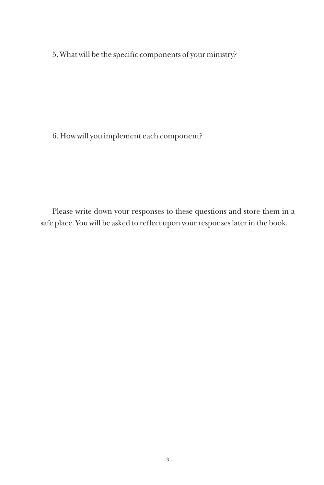5. What will be the specific components of your ministry?

6. How will you implement each component?

Please write down your responses to these questions and store them in a safe place. You will be asked to reflect upon your responses later in the book.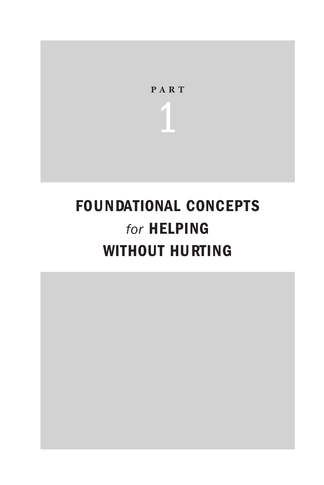

## FOUNDATIONAL CONCEPTS *for* Helping WITHOUT HURTING

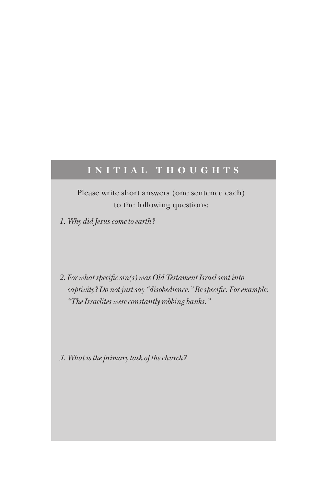### **I n iti al Th o ugh t s**

Please write short answers (one sentence each) to the following questions:

*1. Why did Jesus come to earth?*

*2. For what specific sin(s) was Old Testament Israel sent into captivity? Do not just say "disobedience." Be specific. For example: "The Israelites were constantly robbing banks."*

*3. What is the primary task of the church?*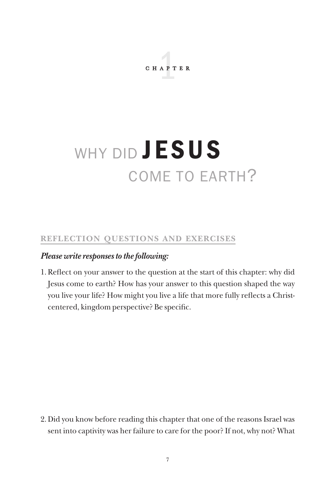chapter 1

# WHY DID **JESUS** come to earth?

#### **Reflection Questions and Exercises**

#### *Please write responses to the following:*

1. Reflect on your answer to the question at the start of this chapter: why did Jesus come to earth? How has your answer to this question shaped the way you live your life? How might you live a life that more fully reflects a Christcentered, kingdom perspective? Be specific.

2. Did you know before reading this chapter that one of the reasons Israel was sent into captivity was her failure to care for the poor? If not, why not? What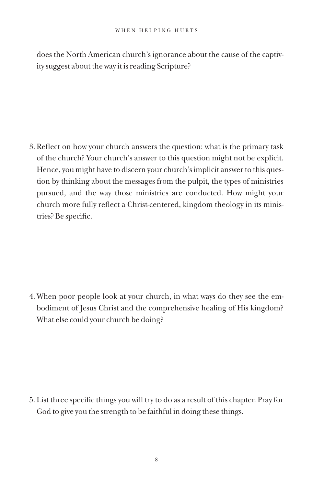does the North American church's ignorance about the cause of the captivity suggest about the way it is reading Scripture?

3. Reflect on how your church answers the question: what is the primary task of the church? Your church's answer to this question might not be explicit. Hence, you might have to discern your church's implicit answer to this question by thinking about the messages from the pulpit, the types of ministries pursued, and the way those ministries are conducted. How might your church more fully reflect a Christ-centered, kingdom theology in its ministries? Be specific.

4. When poor people look at your church, in what ways do they see the embodiment of Jesus Christ and the comprehensive healing of His kingdom? What else could your church be doing?

5. List three specific things you will try to do as a result of this chapter. Pray for God to give you the strength to be faithful in doing these things.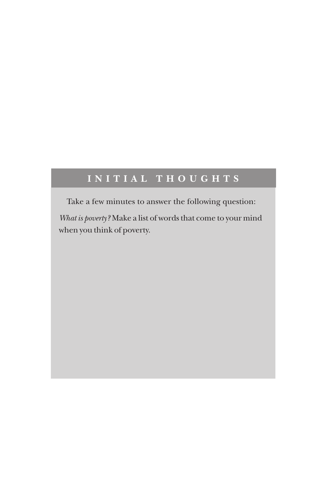### **I n iti al Th o ugh t s**

Take a few minutes to answer the following question:

*What is poverty?* Make a list of words that come to your mind when you think of poverty.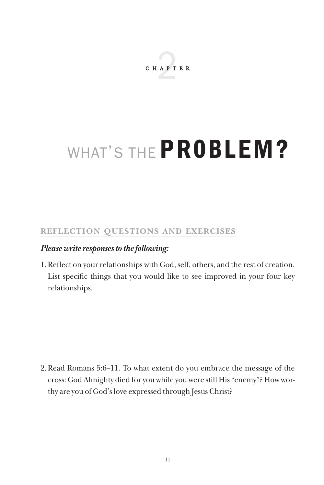

# WHAT'S THE **PROBLEM?**

#### **Reflection Questions and Exercises**

#### *Please write responses to the following:*

1. Reflect on your relationships with God, self, others, and the rest of creation. List specific things that you would like to see improved in your four key relationships.

2. Read Romans 5:6–11. To what extent do you embrace the message of the cross: God Almighty died for you while you were still His "enemy"? How worthy are you of God's love expressed through Jesus Christ?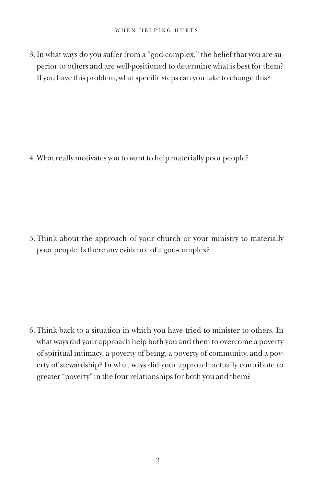3. In what ways do you suffer from a "god-complex," the belief that you are superior to others and are well-positioned to determine what is best for them? If you have this problem, what specific steps can you take to change this?

4. What really motivates you to want to help materially poor people?

5. Think about the approach of your church or your ministry to materially poor people. Is there any evidence of a god-complex?

6. Think back to a situation in which you have tried to minister to others. In what ways did your approach help both you and them to overcome a poverty of spiritual intimacy, a poverty of being, a poverty of community, and a poverty of stewardship? In what ways did your approach actually contribute to greater "poverty" in the four relationships for both you and them?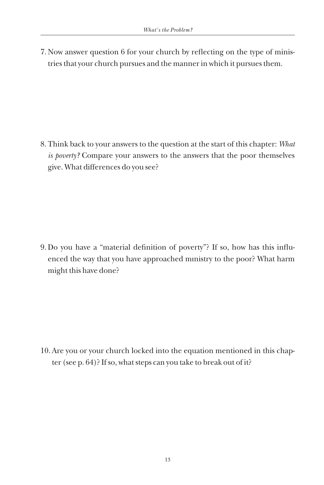7. Now answer question 6 for your church by reflecting on the type of ministries that your church pursues and the manner in which it pursues them.

8. Think back to your answers to the question at the start of this chapter: *What is poverty?* Compare your answers to the answers that the poor themselves give. What differences do you see?

9. Do you have a "material definition of poverty"? If so, how has this influenced the way that you have approached ministry to the poor? What harm enced the way that you have approached ministry to the poor? What harm might this have done?

10. Are you or your church locked into the equation mentioned in this chapter (see p. 64)? If so, what steps can you take to break out of it?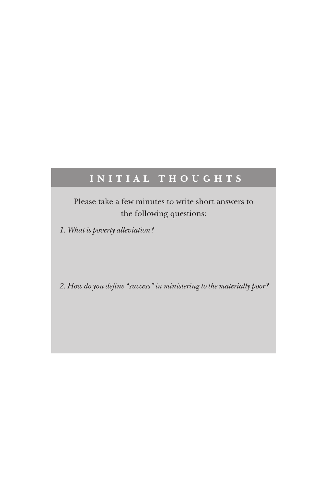### **INITIAL THOUGHTS**

Please take a few minutes to write short answers to the following questions:

*1. What is poverty alleviation?* 

*2. How do you define "success" in ministering to the materially poor?*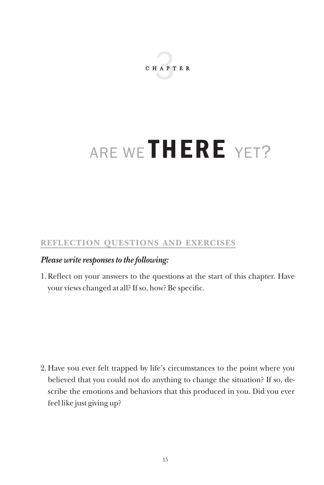

# ARE WE THERE YET?

#### **Reflection Questions and Exercises**

#### *Please write responses to the following:*

1. Reflect on your answers to the questions at the start of this chapter. Have your views changed at all? If so, how? Be specific.

2. Have you ever felt trapped by life's circumstances to the point where you believed that you could not do anything to change the situation? If so, describe the emotions and behaviors that this produced in you. Did you ever feel like just giving up?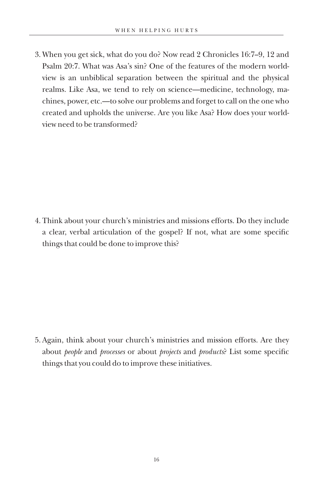3. When you get sick, what do you do? Now read 2 Chronicles 16:7–9, 12 and Psalm 20:7. What was Asa's sin? One of the features of the modern worldview is an unbiblical separation between the spiritual and the physical realms. Like Asa, we tend to rely on science—medicine, technology, machines, power, etc.—to solve our problems and forget to call on the one who created and upholds the universe. Are you like Asa? How does your worldview need to be transformed?

4. Think about your church's ministries and missions efforts. Do they include a clear, verbal articulation of the gospel? If not, what are some specific things that could be done to improve this?

5. Again, think about your church's ministries and mission efforts. Are they about *people* and *processes* or about *projects* and *products*? List some specific things that you could do to improve these initiatives.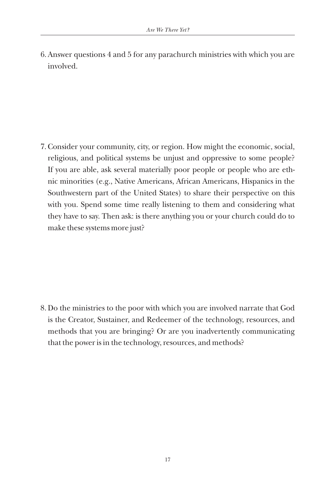6. Answer questions 4 and 5 for any parachurch ministries with which you are involved.

7. Consider your community, city, or region. How might the economic, social, religious, and political systems be unjust and oppressive to some people? If you are able, ask several materially poor people or people who are ethnic minorities (e.g., Native Americans, African Americans, Hispanics in the Southwestern part of the United States) to share their perspective on this with you. Spend some time really listening to them and considering what they have to say. Then ask: is there anything you or your church could do to make these systems more just?

8. Do the ministries to the poor with which you are involved narrate that God is the Creator, Sustainer, and Redeemer of the technology, resources, and methods that you are bringing? Or are you inadvertently communicating that the power is in the technology, resources, and methods?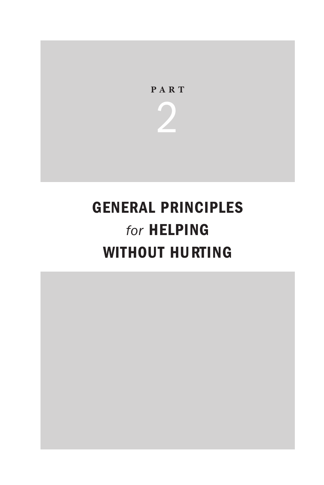

2

## General Principles *for* Helping WITHOUT HURTING

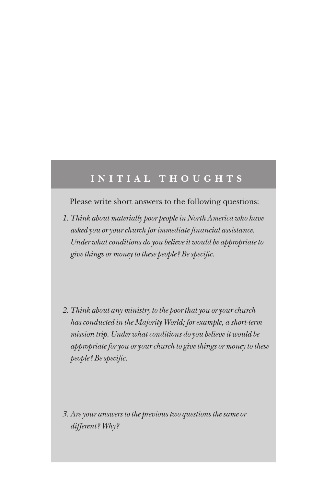### **i n iti al Th o ugh t s**

Please write short answers to the following questions:

- *1. Think about materially poor people in North America who have asked you or your church for immediate financial assistance. Under what conditions do you believe it would be appropriate to give things or money to these people? Be specific.*
- *2. Think about any ministry to the poor that you or your church has conducted in the Majority World; for example, a short-term mission trip. Under what conditions do you believe it would be appropriate for you or your church to give things or money to these people? Be specific.*

*3. Are your answers to the previous two questions the same or different? Why?*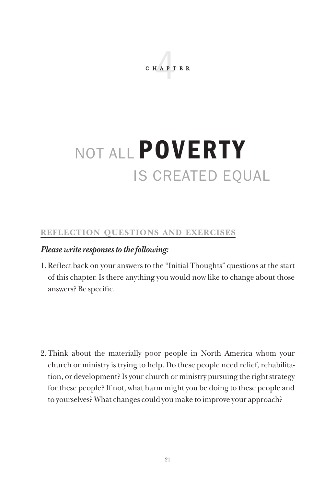chapter 4

# NOT ALL POVERTY is created equal

#### **Reflection Questions and Exercises**

#### *Please write responses to the following:*

1. Reflect back on your answers to the "Initial Thoughts" questions at the start of this chapter. Is there anything you would now like to change about those answers? Be specific.

2. Think about the materially poor people in North America whom your church or ministry is trying to help. Do these people need relief, rehabilitation, or development? Is your church or ministry pursuing the right strategy for these people? If not, what harm might you be doing to these people and to yourselves? What changes could you make to improve your approach?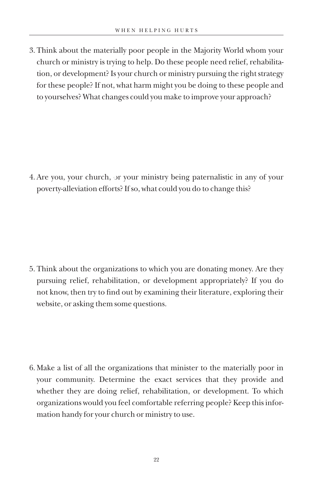3. Think about the materially poor people in the Majority World whom your church or ministry is trying to help. Do these people need relief, rehabilitation, or development? Is your church or ministry pursuing the right strategy for these people? If not, what harm might you be doing to these people and to yourselves? What changes could you make to improve your approach?

4. Are you, your church, or your ministry being paternalistic in any of your poverty-alleviation efforts? If so, what could you do to change this?

5. Think about the organizations to which you are donating money. Are they pursuing relief, rehabilitation, or development appropriately? If you do not know, then try to find out by examining their literature, exploring their website, or asking them some questions.

6. Make a list of all the organizations that minister to the materially poor in your community. Determine the exact services that they provide and whether they are doing relief, rehabilitation, or development. To which organizations would you feel comfortable referring people? Keep this information handy for your church or ministry to use.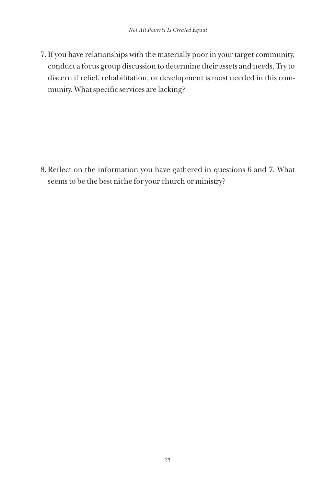7. If you have relationships with the materially poor in your target community, conduct a focus group discussion to determine their assets and needs. Try to discern if relief, rehabilitation, or development is most needed in this community. What specific services are lacking?

8. Reflect on the information you have gathered in questions 6 and 7. What seems to be the best niche for your church or ministry?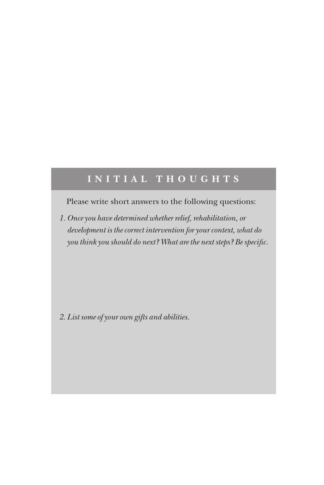### $I N I T I A L T H O U G H T S$

Please write short answers to the following questions:

*1. Once you have determined whether relief, rehabilitation, or development is the correct intervention for your context, what do you think you should do next? What are the next steps? Be specific.*

*2. List some of your own gifts and abilities.*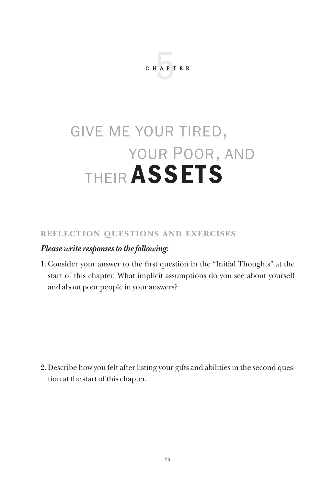

## give me your tired, your Poor, and their assets

#### **Reflection Questions and Exercises**

#### *Please write responses to the following:*

1. Consider your answer to the first question in the "Initial Thoughts" at the start of this chapter. What implicit assumptions do you see about yourself and about poor people in your answers?

2. Describe how you felt after listing your gifts and abilities in the second question at the start of this chapter.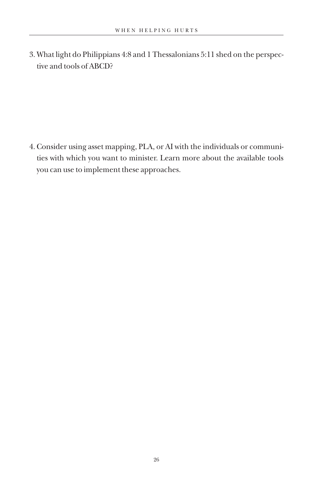3. What light do Philippians 4:8 and 1 Thessalonians 5:11 shed on the perspective and tools of ABCD?

4. Consider using asset mapping, PLA, or AI with the individuals or communities with which you want to minister. Learn more about the available tools you can use to implement these approaches.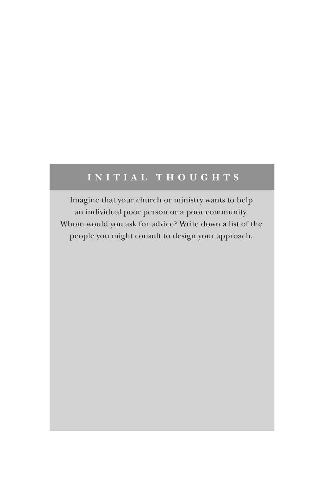### **I n iti al Th o ugh t s**

Imagine that your church or ministry wants to help an individual poor person or a poor community. Whom would you ask for advice? Write down a list of the people you might consult to design your approach.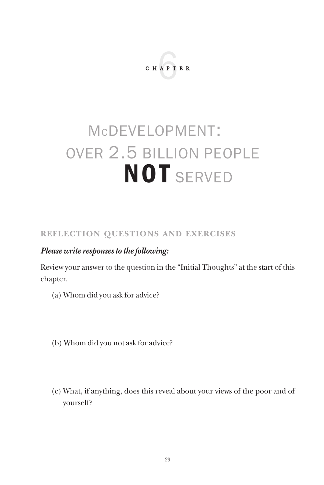

## mcdevelopment: over 2.5 billion people **NOT** SERVED

#### **Reflection Questions and Exercises**

#### *Please write responses to the following:*

Review your answer to the question in the "Initial Thoughts" at the start of this chapter.

- (a) Whom did you ask for advice?
- (b) Whom did you not ask for advice?
- (c) What, if anything, does this reveal about your views of the poor and of yourself?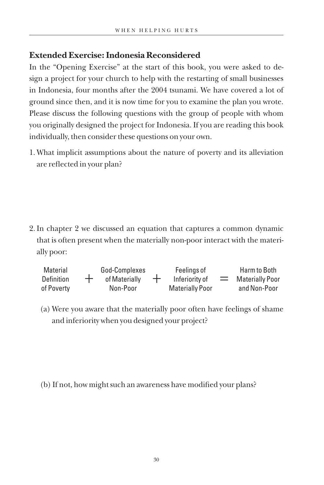#### **Extended Exercise: Indonesia Reconsidered**

In the "Opening Exercise" at the start of this book, you were asked to design a project for your church to help with the restarting of small businesses in Indonesia, four months after the 2004 tsunami. We have covered a lot of ground since then, and it is now time for you to examine the plan you wrote. Please discuss the following questions with the group of people with whom you originally designed the project for Indonesia. If you are reading this book individually, then consider these questions on your own.

1. What implicit assumptions about the nature of poverty and its alleviation are reflected in your plan?

2. In chapter 2 we discussed an equation that captures a common dynamic that is often present when the materially non-poor interact with the materially poor:

| Material          | God-Complexes |       | Feelings of            |     | Harm to Both    |
|-------------------|---------------|-------|------------------------|-----|-----------------|
| <b>Definition</b> | of Materially | $\pm$ | Inferiority of         | $=$ | Materially Poor |
| of Poverty        | Non-Poor      |       | <b>Materially Poor</b> |     | and Non-Poor    |

(a) Were you aware that the materially poor often have feelings of shame and inferiority when you designed your project?

(b) If not, how might such an awareness have modified your plans?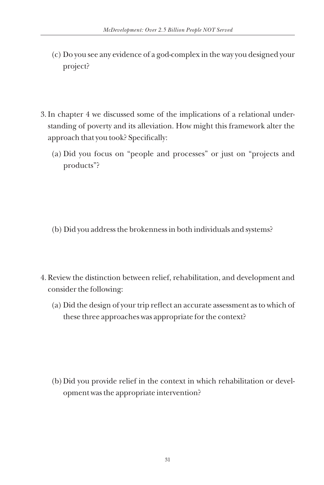- (c) Do you see any evidence of a god-complex in the way you designed your project?
- 3. In chapter 4 we discussed some of the implications of a relational understanding of poverty and its alleviation. How might this framework alter the approach that you took? Specifically:
	- (a) Did you focus on "people and processes" or just on "projects and products"?

- (b) Did you address the brokenness in both individuals and systems?
- 4. Review the distinction between relief, rehabilitation, and development and consider the following:
	- (a) Did the design of your trip reflect an accurate assessment as to which of these three approaches was appropriate for the context?

(b) Did you provide relief in the context in which rehabilitation or development was the appropriate intervention?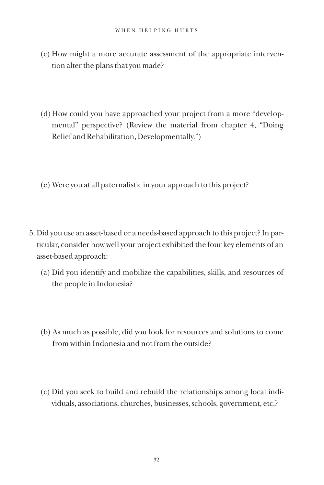- (c) How might a more accurate assessment of the appropriate intervention alter the plans that you made?
- (d) How could you have approached your project from a more "developmental" perspective? (Review the material from chapter 4, "Doing Relief and Rehabilitation, Developmentally.")
- (e) Were you at all paternalistic in your approach to this project?
- 5. Did you use an asset-based or a needs-based approach to this project? In particular, consider how well your project exhibited the four key elements of an asset-based approach:
	- (a) Did you identify and mobilize the capabilities, skills, and resources of the people in Indonesia?
	- (b) As much as possible, did you look for resources and solutions to come from within Indonesia and not from the outside?
	- (c) Did you seek to build and rebuild the relationships among local individuals, associations, churches, businesses, schools, government, etc.?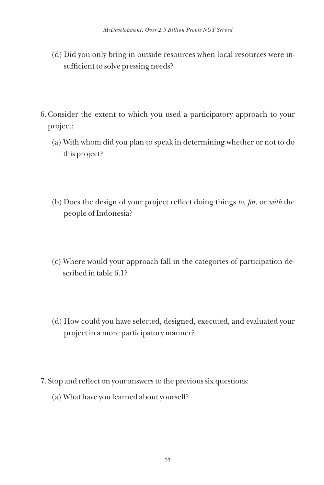- (d) Did you only bring in outside resources when local resources were insufficient to solve pressing needs?
- 6. Consider the extent to which you used a participatory approach to your project:
	- (a) With whom did you plan to speak in determining whether or not to do this project?
	- (b) Does the design of your project reflect doing things *to*, *for*, or *with* the people of Indonesia?
	- (c) Where would your approach fall in the categories of participation described in table 6.1?
	- (d) How could you have selected, designed, executed, and evaluated your project in a more participatory manner?
- 7. Stop and reflect on your answers to the previous six questions:
	- (a) What have you learned about yourself?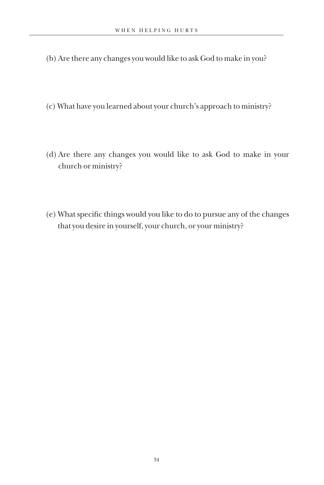- (b) Are there any changes you would like to ask God to make in you?
- (c) What have you learned about your church's approach to ministry?
- (d) Are there any changes you would like to ask God to make in your church or ministry?
- (e) What specific things would you like to do to pursue any of the changes that you desire in yourself, your church, or your ministry?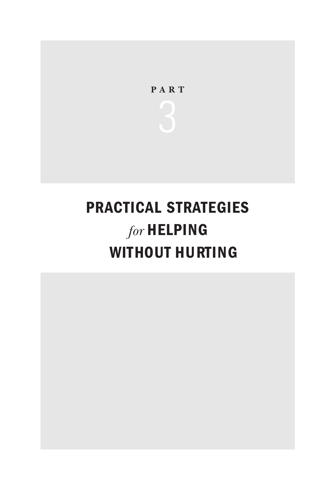

## praCtiCal strategies *for* Helping WITHOUT HURTING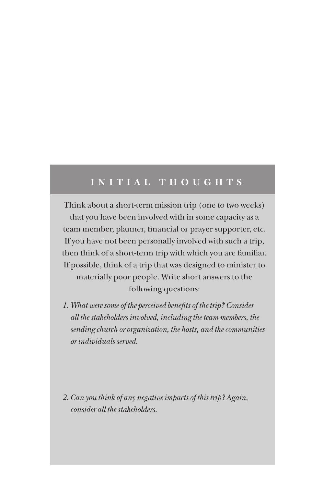### **INITIAL THOUGHTS**

Think about a short-term mission trip (one to two weeks) that you have been involved with in some capacity as a team member, planner, financial or prayer supporter, etc. If you have not been personally involved with such a trip, then think of a short-term trip with which you are familiar. If possible, think of a trip that was designed to minister to materially poor people. Write short answers to the following questions:

- *1. What were some of the perceived benefits of the trip? Consider all the stakeholders involved, including the team members, the sending church or organization, the hosts, and the communities or individuals served.*
- *2. Can you think of any negative impacts of this trip? Again, consider all the stakeholders.*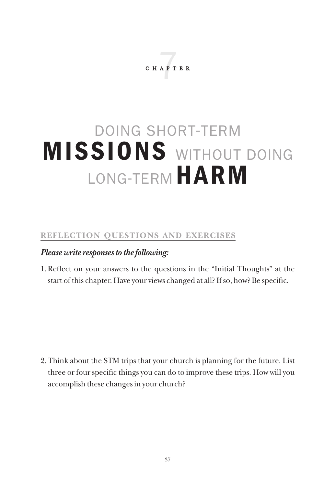**CHAPTER** 

## doing short-term MISSIONS WITHOUT DOING LONG-TERM HARM

#### **Reflection Questions and Exercises**

#### *Please write responses to the following:*

1. Reflect on your answers to the questions in the "Initial Thoughts" at the start of this chapter. Have your views changed at all? If so, how? Be specific.

2. Think about the STM trips that your church is planning for the future. List three or four specific things you can do to improve these trips. How will you accomplish these changes in your church?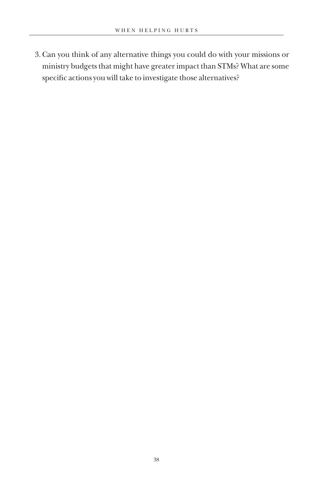3. Can you think of any alternative things you could do with your missions or ministry budgets that might have greater impact than STMs? What are some specific actions you will take to investigate those alternatives?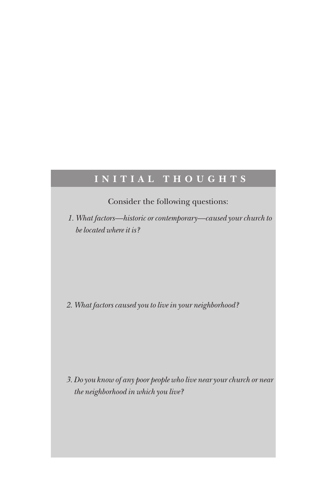### **I n iti al Th o ugh t s**

Consider the following questions:

 *1. What factors—historic or contemporary—caused your church to be located where it is?*

*2. What factors caused you to live in your neighborhood?*

*3. Do you know of any poor people who live near your church or near the neighborhood in which you live?*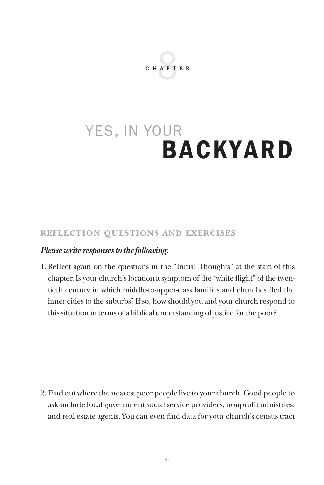

## yes, in your backyard

#### **Reflection Questions and Exercises**

#### *Please write responses to the following:*

1. Reflect again on the questions in the "Initial Thoughts" at the start of this chapter. Is your church's location a symptom of the "white flight" of the twentieth century in which middle-to-upper-class families and churches fled the inner cities to the suburbs? If so, how should you and your church respond to this situation in terms of a biblical understanding of justice for the poor?

2. Find out where the nearest poor people live to your church. Good people to ask include local government social service providers, nonprofit ministries, and real estate agents. You can even find data for your church's census tract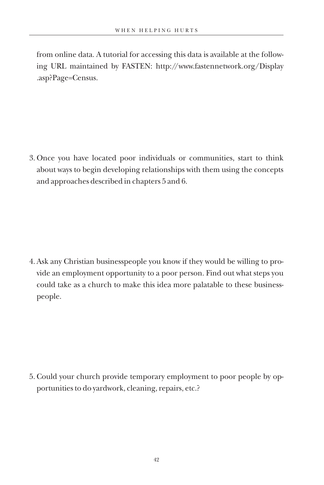from online data. A tutorial for accessing this data is available at the following URL maintained by FASTEN: http://www.fastennetwork.org/Display .asp?Page=Census.

3. Once you have located poor individuals or communities, start to think about ways to begin developing relationships with them using the concepts and approaches described in chapters 5 and 6.

4. Ask any Christian businesspeople you know if they would be willing to provide an employment opportunity to a poor person. Find out what steps you could take as a church to make this idea more palatable to these businesspeople.

5. Could your church provide temporary employment to poor people by opportunities to do yardwork, cleaning, repairs, etc.?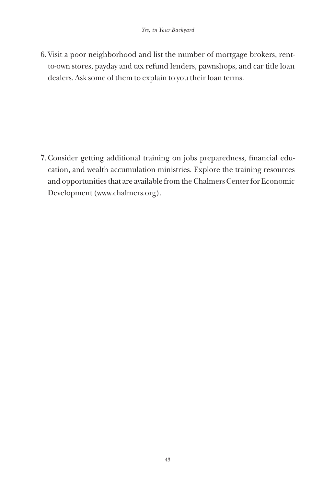6. Visit a poor neighborhood and list the number of mortgage brokers, rentto-own stores, payday and tax refund lenders, pawnshops, and car title loan dealers. Ask some of them to explain to you their loan terms.

7. Consider getting additional training on jobs preparedness, financial education, and wealth accumulation ministries. Explore the training resources and opportunities that are available from the Chalmers Center for Economic Development (www.chalmers.org).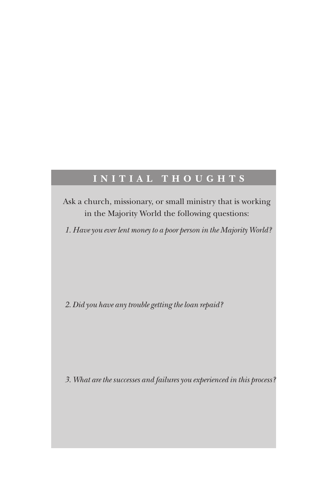### **INITIAL THOUGHTS**

Ask a church, missionary, or small ministry that is working in the Majority World the following questions:

*1. Have you ever lent money to a poor person in the Majority World?*

*2. Did you have any trouble getting the loan repaid?*

*3. What are the successes and failures you experienced in this process?*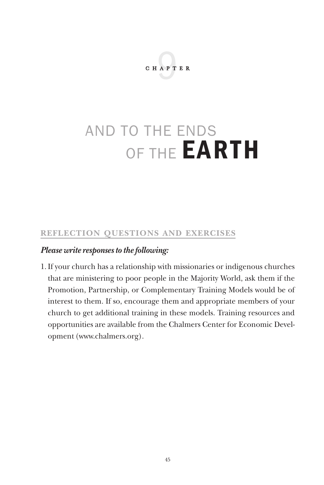

## and to the ends OF THE **EARTH**

#### **Reflection Questions and Exercises**

#### *Please write responses to the following:*

1. If your church has a relationship with missionaries or indigenous churches that are ministering to poor people in the Majority World, ask them if the Promotion, Partnership, or Complementary Training Models would be of interest to them. If so, encourage them and appropriate members of your church to get additional training in these models. Training resources and opportunities are available from the Chalmers Center for Economic Development (www.chalmers.org).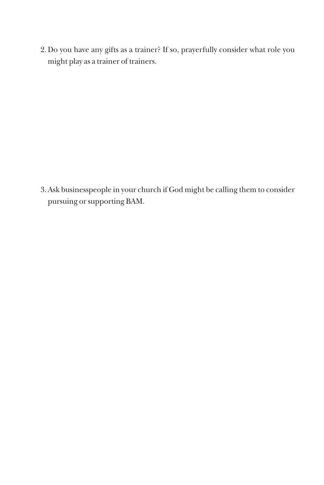2. Do you have any gifts as a trainer? If so, prayerfully consider what role you might play as a trainer of trainers.

3. Ask businesspeople in your church if God might be calling them to consider pursuing or supporting BAM.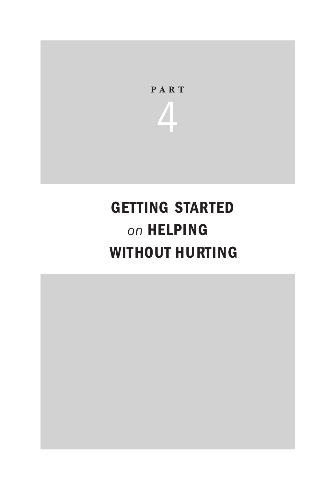

## getting started *on* Helping WITHOUT HURTING

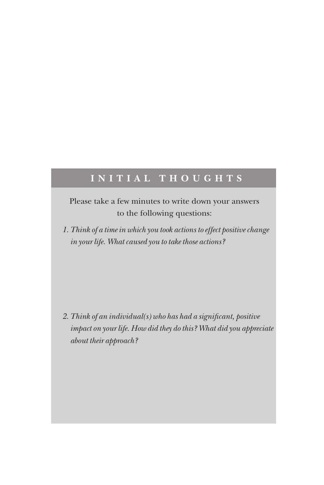### **I n iti al Th o ugh t s**

Please take a few minutes to write down your answers to the following questions:

*1. Think of a time in which you took actions to effect positive change in your life. What caused you to take those actions?*

*2. Think of an individual(s) who has had a significant, positive impact on your life. How did they do this? What did you appreciate about their approach?*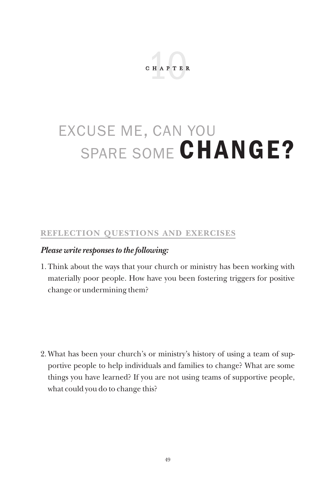

## excuse me, can you SPARE SOME CHANGE?

#### **Reflection Questions and Exercises**

#### *Please write responses to the following:*

1. Think about the ways that your church or ministry has been working with materially poor people. How have you been fostering triggers for positive change or undermining them?

2. What has been your church's or ministry's history of using a team of supportive people to help individuals and families to change? What are some things you have learned? If you are not using teams of supportive people, what could you do to change this?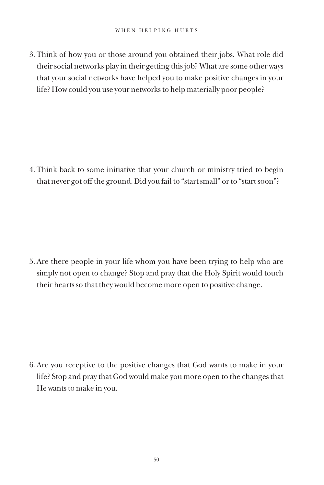3. Think of how you or those around you obtained their jobs. What role did their social networks play in their getting this job? What are some other ways that your social networks have helped you to make positive changes in your life? How could you use your networks to help materially poor people?

4. Think back to some initiative that your church or ministry tried to begin that never got off the ground. Did you fail to "start small" or to "start soon"?

5. Are there people in your life whom you have been trying to help who are simply not open to change? Stop and pray that the Holy Spirit would touch their hearts so that they would become more open to positive change.

6. Are you receptive to the positive changes that God wants to make in your life? Stop and pray that God would make you more open to the changes that He wants to make in you.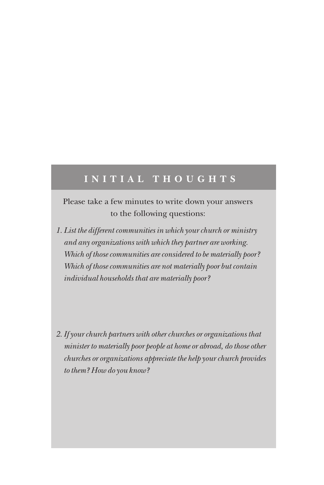### **I n iti al Th o ugh t s**

Please take a few minutes to write down your answers to the following questions:

- *1. List the different communities in which your church or ministry and any organizations with which they partner are working. Which of those communities are considered to be materially poor? Which of those communities are not materially poor but contain individual households that are materially poor?*
- *2. If your church partners with other churches or organizations that minister to materially poor people at home or abroad, do those other churches or organizations appreciate the help your church provides to them? How do you know?*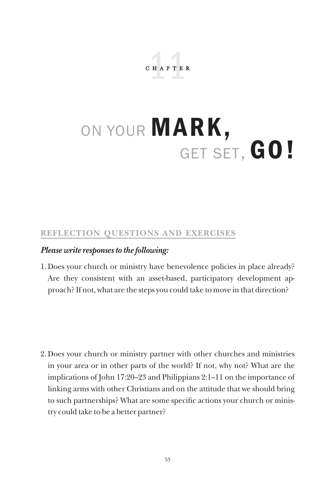chapter 11

# ON YOUR MARK, GET SET, GO!

#### **Reflection Questions and Exercises**

#### *Please write responses to the following:*

1. Does your church or ministry have benevolence policies in place already? Are they consistent with an asset-based, participatory development approach? If not, what are the steps you could take to move in that direction?

2. Does your church or ministry partner with other churches and ministries in your area or in other parts of the world? If not, why not? What are the implications of John 17:20–23 and Philippians 2:1–11 on the importance of linking arms with other Christians and on the attitude that we should bring to such partnerships? What are some specific actions your church or ministry could take to be a better partner?